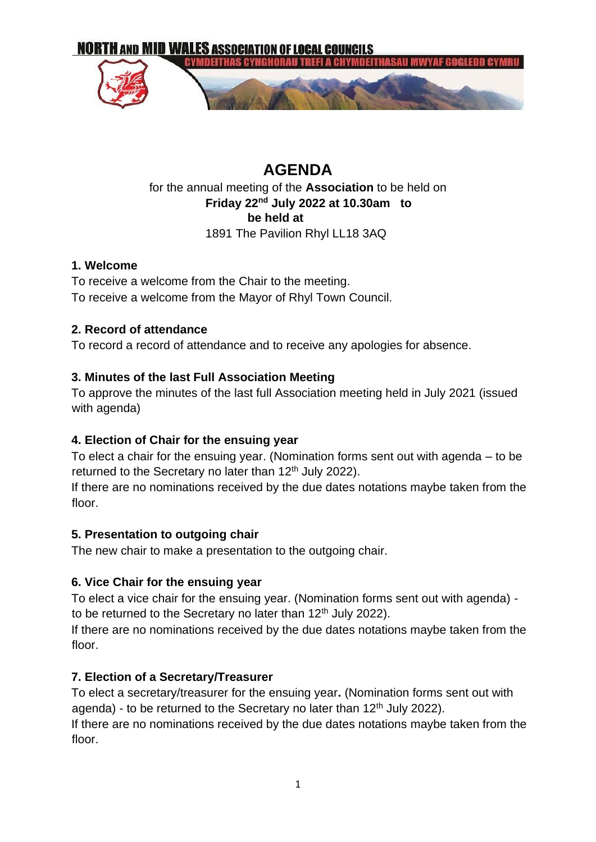

## **AGENDA**  for the annual meeting of the **Association** to be held on **Friday 22nd July 2022 at 10.30am to be held at**  1891 The Pavilion Rhyl LL18 3AQ

#### **1. Welcome**

To receive a welcome from the Chair to the meeting. To receive a welcome from the Mayor of Rhyl Town Council.

#### **2. Record of attendance**

To record a record of attendance and to receive any apologies for absence.

#### **3. Minutes of the last Full Association Meeting**

To approve the minutes of the last full Association meeting held in July 2021 (issued with agenda)

## **4. Election of Chair for the ensuing year**

To elect a chair for the ensuing year. (Nomination forms sent out with agenda – to be returned to the Secretary no later than 12<sup>th</sup> July 2022).

If there are no nominations received by the due dates notations maybe taken from the floor.

#### **5. Presentation to outgoing chair**

The new chair to make a presentation to the outgoing chair.

## **6. Vice Chair for the ensuing year**

To elect a vice chair for the ensuing year. (Nomination forms sent out with agenda) to be returned to the Secretary no later than  $12<sup>th</sup>$  July 2022).

If there are no nominations received by the due dates notations maybe taken from the floor.

#### **7. Election of a Secretary/Treasurer**

To elect a secretary/treasurer for the ensuing year**.** (Nomination forms sent out with agenda) - to be returned to the Secretary no later than  $12<sup>th</sup>$  July 2022).

If there are no nominations received by the due dates notations maybe taken from the floor.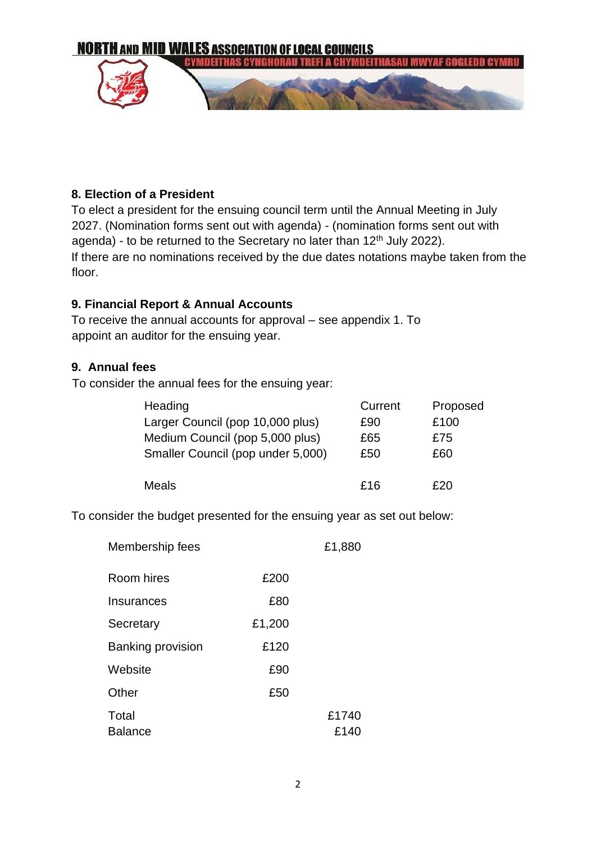

#### **8. Election of a President**

To elect a president for the ensuing council term until the Annual Meeting in July 2027. (Nomination forms sent out with agenda) - (nomination forms sent out with agenda) - to be returned to the Secretary no later than  $12<sup>th</sup>$  July 2022). If there are no nominations received by the due dates notations maybe taken from the floor.

#### **9. Financial Report & Annual Accounts**

To receive the annual accounts for approval – see appendix 1. To appoint an auditor for the ensuing year.

#### **9. Annual fees**

To consider the annual fees for the ensuing year:

| Heading                           | Current | Proposed |
|-----------------------------------|---------|----------|
| Larger Council (pop 10,000 plus)  | £90     | £100     |
| Medium Council (pop 5,000 plus)   | £65     | £75      |
| Smaller Council (pop under 5,000) | £50     | £60      |
|                                   |         |          |
| Meals                             | £16     | £20      |

To consider the budget presented for the ensuing year as set out below:

| Membership fees          |        | £1,880        |
|--------------------------|--------|---------------|
| Room hires               | £200   |               |
| Insurances               | £80    |               |
| Secretary                | £1,200 |               |
| <b>Banking provision</b> | £120   |               |
| Website                  | £90    |               |
| Other                    | £50    |               |
| Total<br><b>Balance</b>  |        | £1740<br>£140 |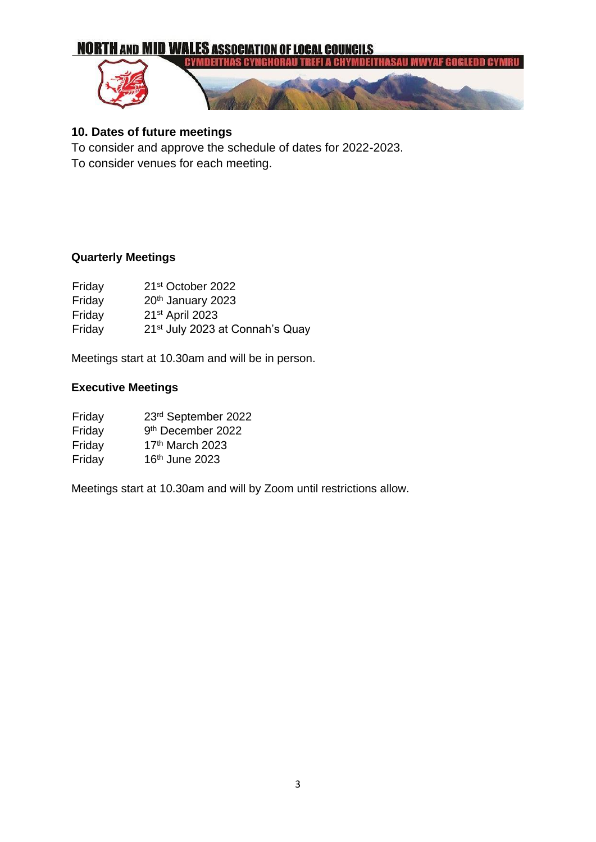

### **10. Dates of future meetings**

To consider and approve the schedule of dates for 2022-2023.

To consider venues for each meeting.

#### **Quarterly Meetings**

| Friday | 21 <sup>st</sup> October 2022               |
|--------|---------------------------------------------|
| Friday | 20 <sup>th</sup> January 2023               |
| Friday | 21 <sup>st</sup> April 2023                 |
| Friday | 21 <sup>st</sup> July 2023 at Connah's Quay |

Meetings start at 10.30am and will be in person.

#### **Executive Meetings**

| Friday | 23rd September 2022           |
|--------|-------------------------------|
| Friday | 9 <sup>th</sup> December 2022 |
| Friday | 17th March 2023               |
| Friday | 16th June 2023                |

Meetings start at 10.30am and will by Zoom until restrictions allow.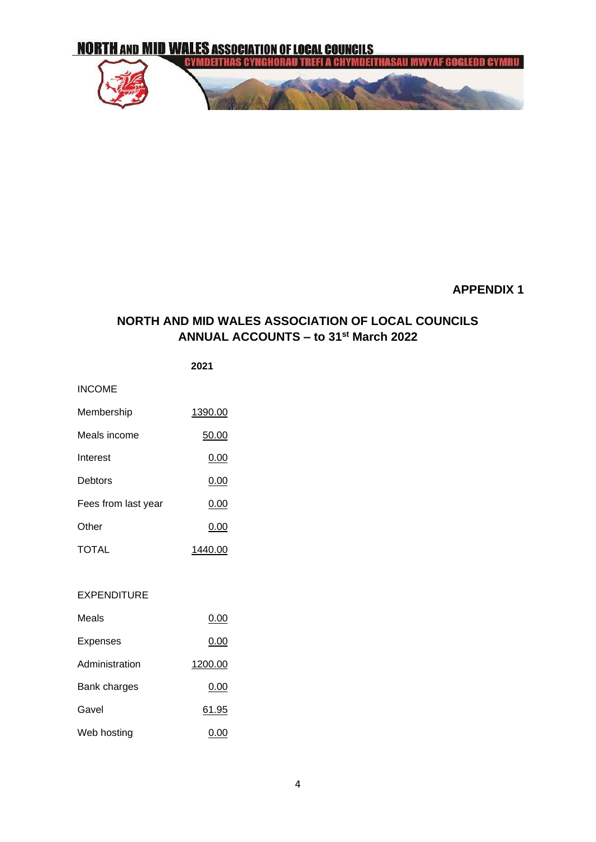

#### **APPENDIX 1**

#### **NORTH AND MID WALES ASSOCIATION OF LOCAL COUNCILS ANNUAL ACCOUNTS – to 31st March 2022**

INCOME

| Membership          | 1390.00 |
|---------------------|---------|
| Meals income        | 50.00   |
| Interest            | 0.00    |
| Debtors             | 0.00    |
| Fees from last year | 0.00    |
| Other               | 0.00    |
| TOTAL               | 1440.00 |

#### EXPENDITURE

| Meals          | 0.00    |
|----------------|---------|
| Expenses       | 0.00    |
| Administration | 1200.00 |
| Bank charges   | 0.00    |
| Gavel          | 61.95   |
| Web hosting    | 0.00    |